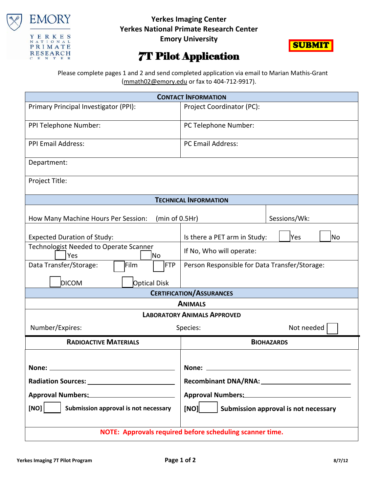

## **Yerkes Imaging Center Yerkes National Primate Research Center**

**Emory University**



## 7T Pilot Application

 Please complete pages 1 and 2 and send completed application via email to Marian Mathis-Grant [\(mmath02@emory.edu](mailto:mmath02@emory.edu) or fax to 404-712-9917).

| <b>CONTACT INFORMATION</b>                               |                                               |  |  |  |  |
|----------------------------------------------------------|-----------------------------------------------|--|--|--|--|
| Primary Principal Investigator (PPI):                    | Project Coordinator (PC):                     |  |  |  |  |
| PPI Telephone Number:                                    | PC Telephone Number:                          |  |  |  |  |
| <b>PPI Email Address:</b>                                | <b>PC Email Address:</b>                      |  |  |  |  |
| Department:                                              |                                               |  |  |  |  |
| Project Title:                                           |                                               |  |  |  |  |
|                                                          | <b>TECHNICAL INFORMATION</b>                  |  |  |  |  |
| How Many Machine Hours Per Session:<br>(min of 0.5Hr)    | Sessions/Wk:                                  |  |  |  |  |
| <b>Expected Duration of Study:</b>                       | Is there a PET arm in Study:<br>Yes<br>lNo    |  |  |  |  |
| Technologist Needed to Operate Scanner<br>Yes<br>No      | If No, Who will operate:                      |  |  |  |  |
| Film<br>Data Transfer/Storage:<br><b>FTP</b>             | Person Responsible for Data Transfer/Storage: |  |  |  |  |
| <b>DICOM</b><br><b>Optical Disk</b>                      |                                               |  |  |  |  |
| <b>CERTIFICATION/ASSURANCES</b>                          |                                               |  |  |  |  |
| <b>ANIMALS</b>                                           |                                               |  |  |  |  |
| <b>LABORATORY ANIMALS APPROVED</b>                       |                                               |  |  |  |  |
| Number/Expires:<br>Not needed<br>Species:                |                                               |  |  |  |  |
| <b>RADIOACTIVE MATERIALS</b>                             | <b>BIOHAZARDS</b>                             |  |  |  |  |
|                                                          |                                               |  |  |  |  |
| None:                                                    | None:                                         |  |  |  |  |
|                                                          |                                               |  |  |  |  |
| Approval Numbers: Manuscriptus Approval                  | Approval Numbers: Manual Approval Numbers:    |  |  |  |  |
| [NO]<br>Submission approval is not necessary             | [NO]<br>Submission approval is not necessary  |  |  |  |  |
| NOTE: Approvals required before scheduling scanner time. |                                               |  |  |  |  |